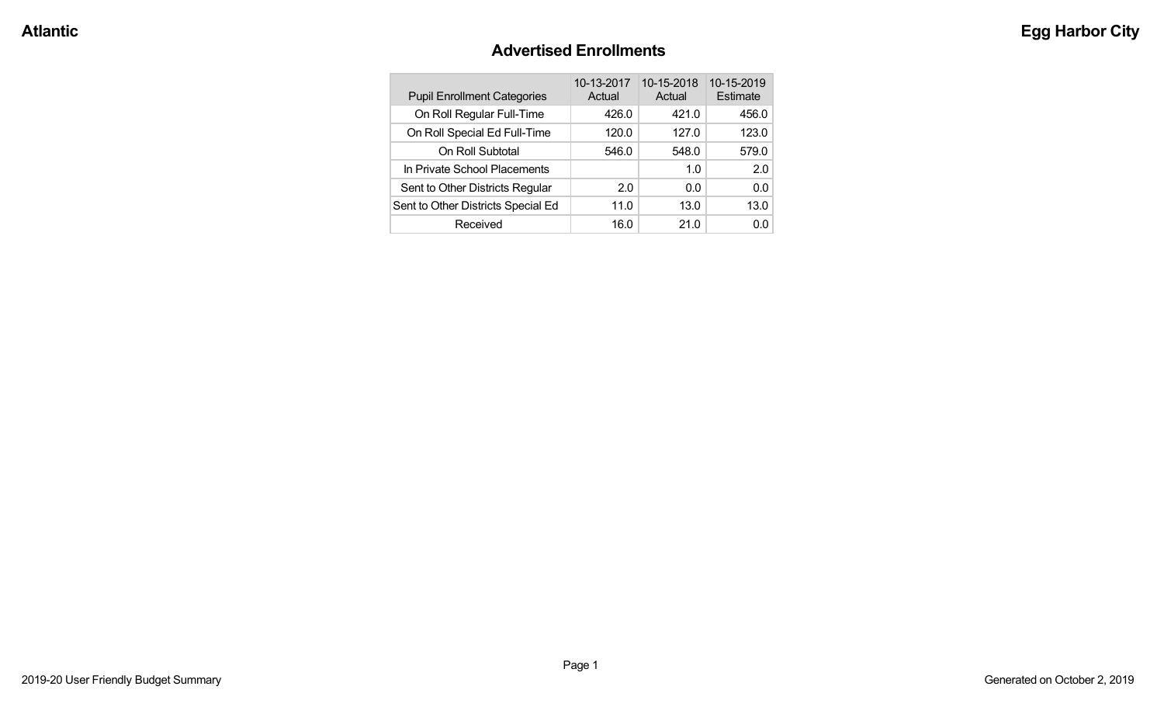#### **Advertised Enrollments**

| <b>Pupil Enrollment Categories</b> | 10-13-2017<br>Actual | 10-15-2018<br>Actual | 10-15-2019<br>Estimate |
|------------------------------------|----------------------|----------------------|------------------------|
| On Roll Regular Full-Time          | 426.0                | 421.0                | 456.0                  |
| On Roll Special Ed Full-Time       | 120.0                | 127.0                | 123.0                  |
| On Roll Subtotal                   | 546.0                | 548.0                | 579.0                  |
| In Private School Placements       |                      | 1.0                  | 2.0                    |
| Sent to Other Districts Regular    | 2.0                  | 0.0                  | 0.0                    |
| Sent to Other Districts Special Ed | 11.0                 | 13.0                 | 13.0                   |
| Received                           | 16.0                 | 21.0                 | n n                    |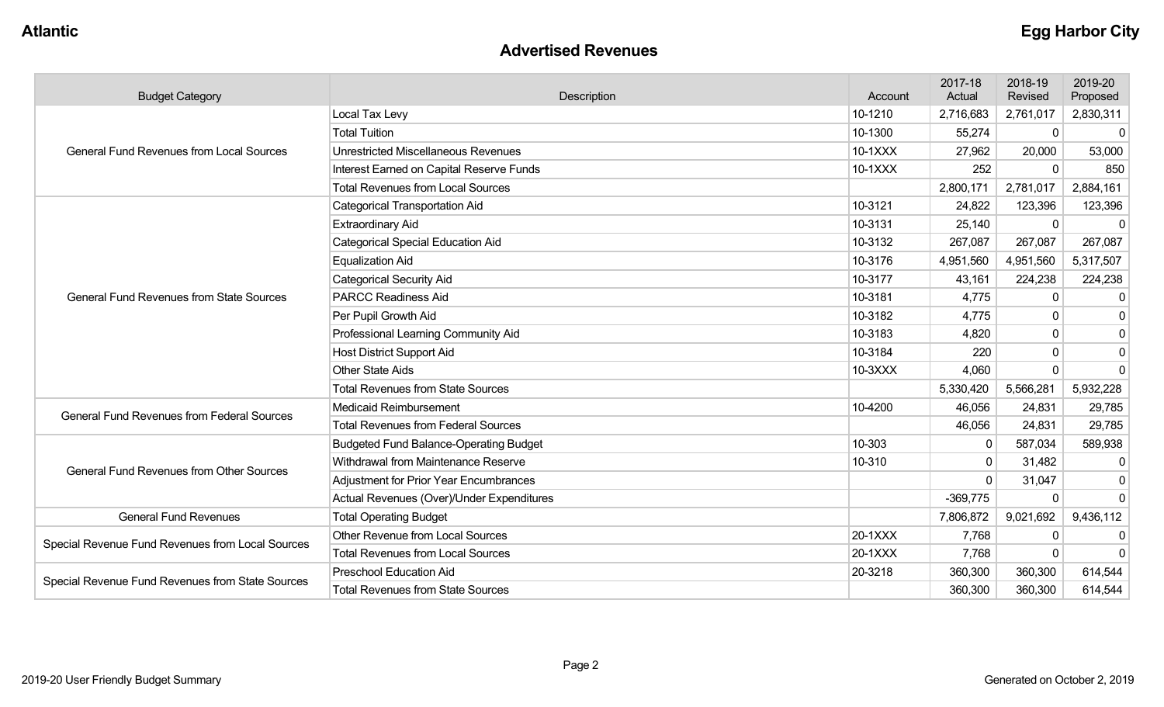#### **Advertised Revenues**

| <b>Budget Category</b>                            | Description                                   |         | 2017-18<br>Actual | 2018-19<br>Revised | 2019-20<br>Proposed |
|---------------------------------------------------|-----------------------------------------------|---------|-------------------|--------------------|---------------------|
|                                                   | Local Tax Levy                                | 10-1210 | 2,716,683         | 2,761,017          | 2,830,311           |
|                                                   | <b>Total Tuition</b>                          | 10-1300 | 55,274            | $\mathbf 0$        | 0                   |
| <b>General Fund Revenues from Local Sources</b>   | Unrestricted Miscellaneous Revenues           | 10-1XXX | 27,962            | 20,000             | 53,000              |
|                                                   | Interest Earned on Capital Reserve Funds      | 10-1XXX | 252               | $\Omega$           | 850                 |
|                                                   | <b>Total Revenues from Local Sources</b>      |         | 2,800,171         | 2,781,017          | 2,884,161           |
|                                                   | <b>Categorical Transportation Aid</b>         | 10-3121 | 24,822            | 123,396            | 123,396             |
|                                                   | <b>Extraordinary Aid</b>                      | 10-3131 | 25,140            | $\Omega$           | $\Omega$            |
|                                                   | <b>Categorical Special Education Aid</b>      | 10-3132 | 267,087           | 267,087            | 267,087             |
|                                                   | <b>Equalization Aid</b>                       | 10-3176 | 4,951,560         | 4,951,560          | 5,317,507           |
|                                                   | <b>Categorical Security Aid</b>               | 10-3177 | 43,161            | 224,238            | 224,238             |
| <b>General Fund Revenues from State Sources</b>   | <b>PARCC Readiness Aid</b>                    | 10-3181 | 4,775             | $\Omega$           | $\mathbf 0$         |
|                                                   | Per Pupil Growth Aid                          | 10-3182 | 4,775             | $\Omega$           | $\overline{0}$      |
|                                                   | Professional Learning Community Aid           | 10-3183 | 4,820             | $\Omega$           | $\mathbf 0$         |
|                                                   | <b>Host District Support Aid</b>              | 10-3184 | 220               | $\Omega$           | $\overline{0}$      |
|                                                   | <b>Other State Aids</b>                       | 10-3XXX | 4,060             | $\Omega$           | $\mathbf 0$         |
|                                                   | <b>Total Revenues from State Sources</b>      |         | 5,330,420         | 5,566,281          | 5,932,228           |
| <b>General Fund Revenues from Federal Sources</b> | Medicaid Reimbursement                        | 10-4200 | 46,056            | 24,831             | 29,785              |
|                                                   | <b>Total Revenues from Federal Sources</b>    |         | 46,056            | 24,831             | 29,785              |
|                                                   | <b>Budgeted Fund Balance-Operating Budget</b> | 10-303  | 0                 | 587,034            | 589,938             |
| <b>General Fund Revenues from Other Sources</b>   | Withdrawal from Maintenance Reserve           | 10-310  | $\mathbf{0}$      | 31,482             | $\mathbf{0}$        |
|                                                   | Adjustment for Prior Year Encumbrances        |         | $\Omega$          | 31,047             | $\mathbf 0$         |
|                                                   | Actual Revenues (Over)/Under Expenditures     |         | $-369,775$        | $\Omega$           | $\mathbf{0}$        |
| <b>General Fund Revenues</b>                      | <b>Total Operating Budget</b>                 |         | 7,806,872         | 9,021,692          | 9,436,112           |
| Special Revenue Fund Revenues from Local Sources  | Other Revenue from Local Sources              | 20-1XXX | 7,768             | $\Omega$           | 0                   |
|                                                   | <b>Total Revenues from Local Sources</b>      | 20-1XXX | 7,768             | $\Omega$           | $\Omega$            |
| Special Revenue Fund Revenues from State Sources  | <b>Preschool Education Aid</b>                | 20-3218 | 360,300           | 360,300            | 614,544             |
|                                                   | <b>Total Revenues from State Sources</b>      |         | 360,300           | 360,300            | 614,544             |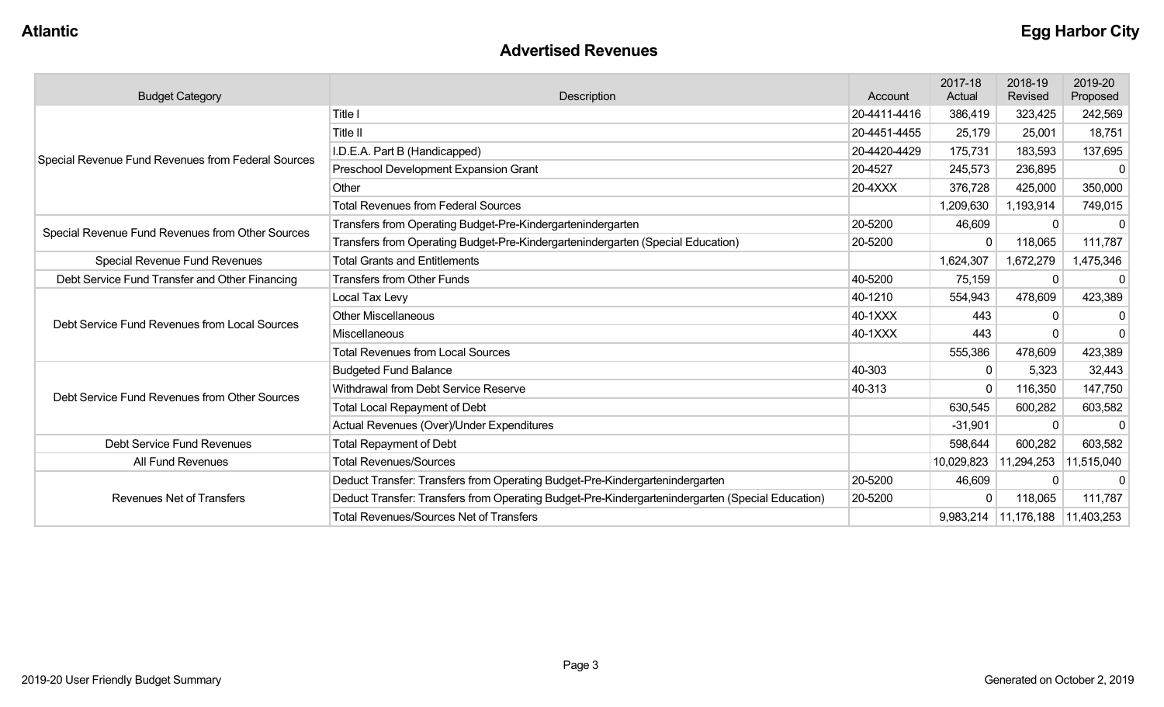| <b>Advertised Revenues</b> |
|----------------------------|
|----------------------------|

| <b>Budget Category</b>                             | <b>Description</b>                                                                               | Account      | 2017-18<br>Actual | 2018-19<br>Revised                  | 2019-20<br>Proposed |
|----------------------------------------------------|--------------------------------------------------------------------------------------------------|--------------|-------------------|-------------------------------------|---------------------|
|                                                    | Title I                                                                                          | 20-4411-4416 | 386,419           | 323,425                             | 242,569             |
|                                                    | <b>Title II</b>                                                                                  | 20-4451-4455 | 25,179            | 25,001                              | 18,751              |
| Special Revenue Fund Revenues from Federal Sources | I.D.E.A. Part B (Handicapped)                                                                    | 20-4420-4429 | 175,731           | 183,593                             | 137,695             |
|                                                    | Preschool Development Expansion Grant                                                            | 20-4527      | 245,573           | 236,895                             | $\mathbf{0}$        |
|                                                    | Other                                                                                            | 20-4XXX      | 376,728           | 425,000                             | 350,000             |
|                                                    | <b>Total Revenues from Federal Sources</b>                                                       |              | 1,209,630         | 1,193,914                           | 749,015             |
| Special Revenue Fund Revenues from Other Sources   | Transfers from Operating Budget-Pre-Kindergartenindergarten                                      | 20-5200      | 46,609            |                                     | $\Omega$            |
|                                                    | Transfers from Operating Budget-Pre-Kindergartenindergarten (Special Education)                  | 20-5200      | $\mathbf{0}$      | 118,065                             | 111,787             |
| <b>Special Revenue Fund Revenues</b>               | <b>Total Grants and Entitlements</b>                                                             |              | 1,624,307         | 1,672,279                           | 1,475,346           |
| Debt Service Fund Transfer and Other Financing     | <b>Transfers from Other Funds</b>                                                                | 40-5200      | 75,159            |                                     | $\mathbf{0}$        |
|                                                    | Local Tax Levy                                                                                   | 40-1210      | 554,943           | 478,609                             | 423,389             |
| Debt Service Fund Revenues from Local Sources      | <b>Other Miscellaneous</b>                                                                       | 40-1XXX      | 443               |                                     | 0                   |
|                                                    | Miscellaneous                                                                                    | 40-1XXX      | 443               |                                     | $\Omega$            |
|                                                    | <b>Total Revenues from Local Sources</b>                                                         |              | 555,386           | 478,609                             | 423,389             |
|                                                    | <b>Budgeted Fund Balance</b>                                                                     | 40-303       | $\Omega$          | 5,323                               | 32,443              |
| Debt Service Fund Revenues from Other Sources      | Withdrawal from Debt Service Reserve                                                             | 40-313       | $\Omega$          | 116,350                             | 147,750             |
|                                                    | <b>Total Local Repayment of Debt</b>                                                             |              | 630,545           | 600,282                             | 603,582             |
|                                                    | Actual Revenues (Over)/Under Expenditures                                                        |              | $-31,901$         | $\Omega$                            | $\Omega$            |
| Debt Service Fund Revenues                         | <b>Total Repayment of Debt</b>                                                                   |              | 598,644           | 600,282                             | 603,582             |
| All Fund Revenues                                  | <b>Total Revenues/Sources</b>                                                                    |              | 10,029,823        | 11,294,253                          | 11,515,040          |
|                                                    | Deduct Transfer: Transfers from Operating Budget-Pre-Kindergartenindergarten                     | 20-5200      | 46,609            | 0                                   | $\Omega$            |
| <b>Revenues Net of Transfers</b>                   | Deduct Transfer: Transfers from Operating Budget-Pre-Kindergartenindergarten (Special Education) | 20-5200      | $\Omega$          | 118,065                             | 111,787             |
|                                                    | <b>Total Revenues/Sources Net of Transfers</b>                                                   |              |                   | 9,983,214   11,176,188   11,403,253 |                     |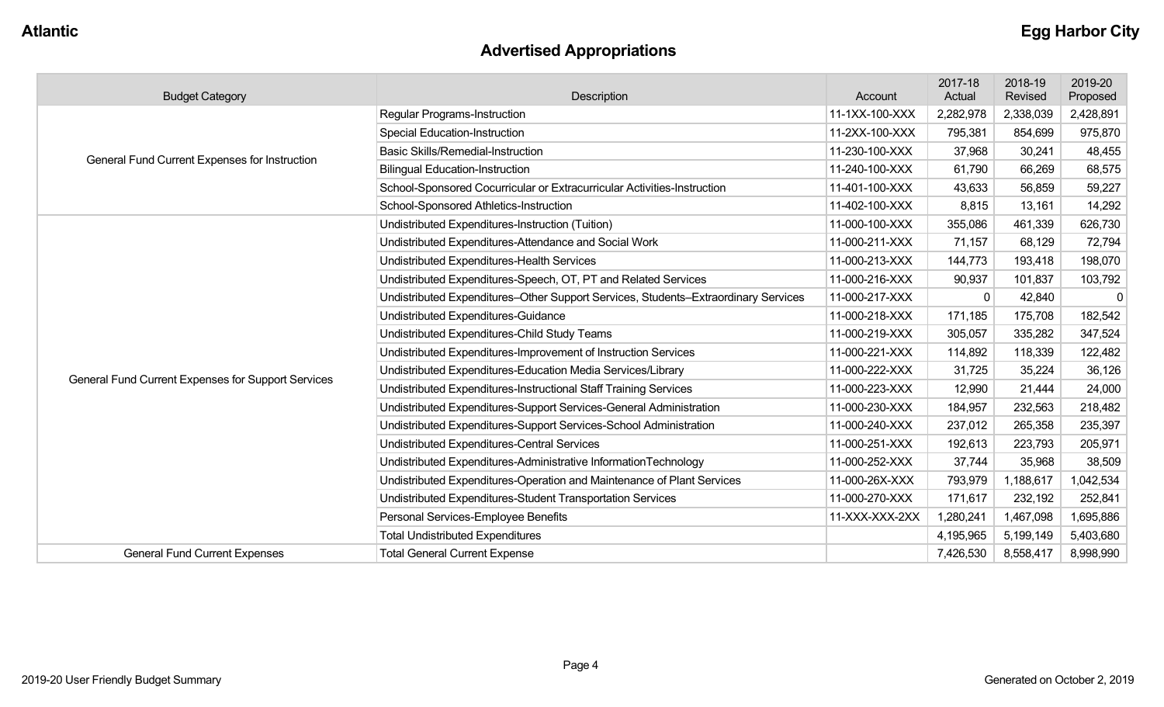# **Advertised Appropriations**

| <b>Budget Category</b>                             | Description                                                                        | Account        | 2017-18<br>Actual | 2018-19<br>Revised | 2019-20<br>Proposed |
|----------------------------------------------------|------------------------------------------------------------------------------------|----------------|-------------------|--------------------|---------------------|
|                                                    | Regular Programs-Instruction                                                       | 11-1XX-100-XXX | 2,282,978         | 2,338,039          | 2,428,891           |
|                                                    | <b>Special Education-Instruction</b>                                               | 11-2XX-100-XXX | 795,381           | 854,699            | 975,870             |
| General Fund Current Expenses for Instruction      | <b>Basic Skills/Remedial-Instruction</b>                                           | 11-230-100-XXX | 37,968            | 30,241             | 48,455              |
|                                                    | <b>Bilingual Education-Instruction</b>                                             | 11-240-100-XXX | 61,790            | 66,269             | 68,575              |
|                                                    | School-Sponsored Cocurricular or Extracurricular Activities-Instruction            | 11-401-100-XXX | 43,633            | 56,859             | 59,227              |
|                                                    | School-Sponsored Athletics-Instruction                                             | 11-402-100-XXX | 8,815             | 13,161             | 14,292              |
|                                                    | Undistributed Expenditures-Instruction (Tuition)                                   | 11-000-100-XXX | 355,086           | 461,339            | 626,730             |
|                                                    | Undistributed Expenditures-Attendance and Social Work                              | 11-000-211-XXX | 71,157            | 68,129             | 72,794              |
|                                                    | Undistributed Expenditures-Health Services                                         | 11-000-213-XXX | 144,773           | 193,418            | 198,070             |
|                                                    | Undistributed Expenditures-Speech, OT, PT and Related Services                     | 11-000-216-XXX | 90,937            | 101,837            | 103,792             |
|                                                    | Undistributed Expenditures-Other Support Services, Students-Extraordinary Services | 11-000-217-XXX | $\Omega$          | 42,840             | $\Omega$            |
|                                                    | Undistributed Expenditures-Guidance                                                | 11-000-218-XXX | 171,185           | 175,708            | 182,542             |
|                                                    | Undistributed Expenditures-Child Study Teams                                       | 11-000-219-XXX | 305,057           | 335,282            | 347,524             |
|                                                    | Undistributed Expenditures-Improvement of Instruction Services                     | 11-000-221-XXX | 114,892           | 118,339            | 122,482             |
| General Fund Current Expenses for Support Services | Undistributed Expenditures-Education Media Services/Library                        | 11-000-222-XXX | 31,725            | 35,224             | 36,126              |
|                                                    | Undistributed Expenditures-Instructional Staff Training Services                   | 11-000-223-XXX | 12,990            | 21,444             | 24,000              |
|                                                    | Undistributed Expenditures-Support Services-General Administration                 | 11-000-230-XXX | 184,957           | 232,563            | 218,482             |
|                                                    | Undistributed Expenditures-Support Services-School Administration                  | 11-000-240-XXX | 237,012           | 265,358            | 235,397             |
|                                                    | Undistributed Expenditures-Central Services                                        | 11-000-251-XXX | 192,613           | 223,793            | 205,971             |
|                                                    | Undistributed Expenditures-Administrative InformationTechnology                    | 11-000-252-XXX | 37,744            | 35,968             | 38,509              |
|                                                    | Undistributed Expenditures-Operation and Maintenance of Plant Services             | 11-000-26X-XXX | 793,979           | 1,188,617          | 1,042,534           |
|                                                    | Undistributed Expenditures-Student Transportation Services                         | 11-000-270-XXX | 171,617           | 232,192            | 252,841             |
|                                                    | Personal Services-Employee Benefits                                                | 11-XXX-XXX-2XX | 1,280,241         | 1,467,098          | 1,695,886           |
|                                                    | <b>Total Undistributed Expenditures</b>                                            |                | 4,195,965         | 5,199,149          | 5,403,680           |
| <b>General Fund Current Expenses</b>               | <b>Total General Current Expense</b>                                               |                | 7,426,530         | 8,558,417          | 8,998,990           |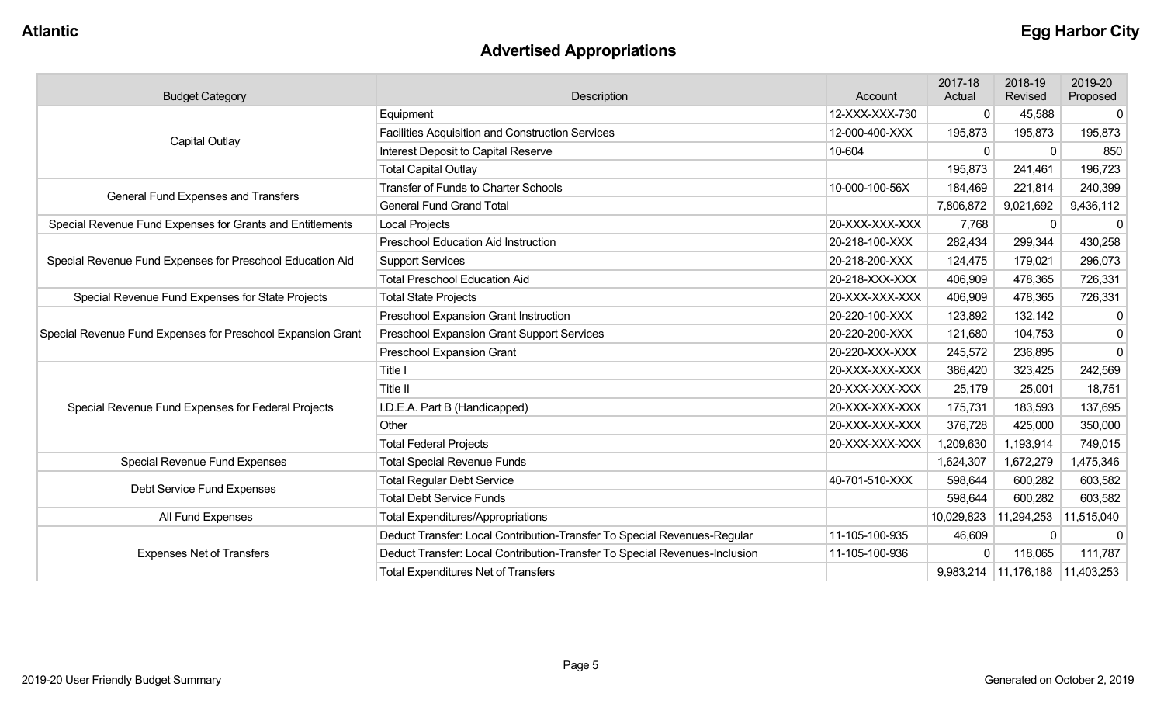# **Advertised Appropriations**

| <b>Budget Category</b>                                      | Description                                                                | Account        | 2017-18<br>Actual | 2018-19<br>Revised                  | 2019-20<br>Proposed |
|-------------------------------------------------------------|----------------------------------------------------------------------------|----------------|-------------------|-------------------------------------|---------------------|
|                                                             | Equipment                                                                  | 12-XXX-XXX-730 | $\mathbf{0}$      | 45,588                              | 0                   |
|                                                             | <b>Facilities Acquisition and Construction Services</b>                    | 12-000-400-XXX | 195,873           | 195,873                             | 195,873             |
| Capital Outlay                                              | Interest Deposit to Capital Reserve                                        | 10-604         | $\Omega$          | $\Omega$                            | 850                 |
|                                                             | <b>Total Capital Outlay</b>                                                |                | 195,873           | 241,461                             | 196,723             |
| General Fund Expenses and Transfers                         | <b>Transfer of Funds to Charter Schools</b>                                | 10-000-100-56X | 184,469           | 221,814                             | 240,399             |
|                                                             | <b>General Fund Grand Total</b>                                            |                | 7,806,872         | 9,021,692                           | 9,436,112           |
| Special Revenue Fund Expenses for Grants and Entitlements   | <b>Local Projects</b>                                                      | 20-XXX-XXX-XXX | 7,768             | $\Omega$                            | 0                   |
|                                                             | <b>Preschool Education Aid Instruction</b>                                 | 20-218-100-XXX | 282,434           | 299,344                             | 430,258             |
| Special Revenue Fund Expenses for Preschool Education Aid   | <b>Support Services</b>                                                    | 20-218-200-XXX | 124,475           | 179,021                             | 296,073             |
|                                                             | <b>Total Preschool Education Aid</b>                                       | 20-218-XXX-XXX | 406,909           | 478,365                             | 726,331             |
| Special Revenue Fund Expenses for State Projects            | <b>Total State Projects</b>                                                | 20-XXX-XXX-XXX | 406,909           | 478,365                             | 726,331             |
|                                                             | Preschool Expansion Grant Instruction                                      | 20-220-100-XXX | 123,892           | 132,142                             | $\mathbf 0$         |
| Special Revenue Fund Expenses for Preschool Expansion Grant | <b>Preschool Expansion Grant Support Services</b>                          | 20-220-200-XXX | 121,680           | 104,753                             | $\overline{0}$      |
|                                                             | Preschool Expansion Grant                                                  | 20-220-XXX-XXX | 245,572           | 236,895                             | $\mathbf 0$         |
|                                                             | Title I                                                                    | 20-XXX-XXX-XXX | 386,420           | 323,425                             | 242,569             |
|                                                             | Title II                                                                   | 20-XXX-XXX-XXX | 25,179            | 25,001                              | 18,751              |
| Special Revenue Fund Expenses for Federal Projects          | I.D.E.A. Part B (Handicapped)                                              | 20-XXX-XXX-XXX | 175,731           | 183,593                             | 137,695             |
|                                                             | Other                                                                      | 20-XXX-XXX-XXX | 376,728           | 425,000                             | 350,000             |
|                                                             | <b>Total Federal Projects</b>                                              | 20-XXX-XXX-XXX | 1,209,630         | 1,193,914                           | 749,015             |
| Special Revenue Fund Expenses                               | <b>Total Special Revenue Funds</b>                                         |                | 1,624,307         | 1,672,279                           | 1,475,346           |
|                                                             | <b>Total Regular Debt Service</b>                                          | 40-701-510-XXX | 598,644           | 600,282                             | 603,582             |
| Debt Service Fund Expenses                                  | <b>Total Debt Service Funds</b>                                            |                | 598,644           | 600,282                             | 603,582             |
| All Fund Expenses                                           | <b>Total Expenditures/Appropriations</b>                                   |                | 10,029,823        | 11,294,253                          | 11,515,040          |
|                                                             | Deduct Transfer: Local Contribution-Transfer To Special Revenues-Regular   | 11-105-100-935 | 46,609            | $\Omega$                            | $\mathbf 0$         |
| <b>Expenses Net of Transfers</b>                            | Deduct Transfer: Local Contribution-Transfer To Special Revenues-Inclusion | 11-105-100-936 | $\mathbf 0$       | 118,065                             | 111,787             |
|                                                             | <b>Total Expenditures Net of Transfers</b>                                 |                |                   | 9,983,214   11,176,188   11,403,253 |                     |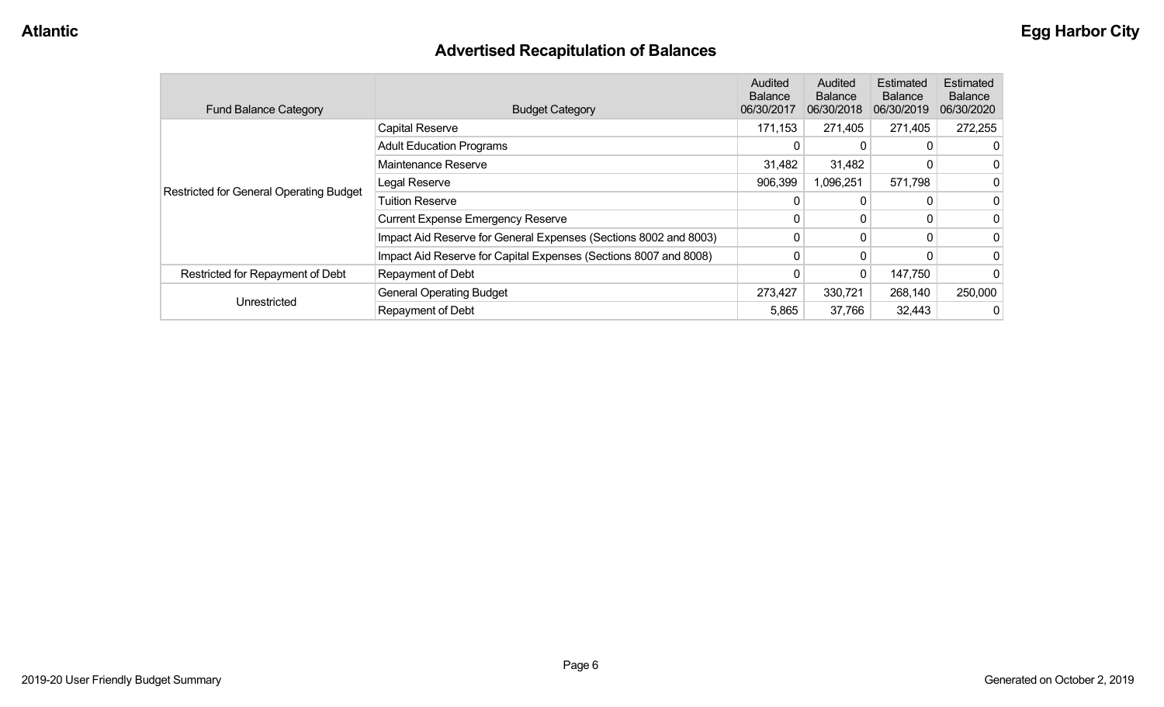# **Advertised Recapitulation of Balances**

| <b>Fund Balance Category</b>            | <b>Budget Category</b>                                           | Audited<br><b>Balance</b><br>06/30/2017 | Audited<br><b>Balance</b><br>06/30/2018 | Estimated<br><b>Balance</b><br>06/30/2019 | <b>Estimated</b><br><b>Balance</b><br>06/30/2020 |
|-----------------------------------------|------------------------------------------------------------------|-----------------------------------------|-----------------------------------------|-------------------------------------------|--------------------------------------------------|
|                                         | <b>Capital Reserve</b>                                           | 171,153                                 | 271,405                                 | 271,405                                   | 272,255                                          |
|                                         | <b>Adult Education Programs</b>                                  | 0                                       | $\Omega$                                |                                           |                                                  |
|                                         | Maintenance Reserve                                              | 31,482                                  | 31,482                                  |                                           |                                                  |
| Restricted for General Operating Budget | Legal Reserve                                                    | 906,399                                 | 1,096,251                               | 571,798                                   |                                                  |
|                                         | <b>Tuition Reserve</b>                                           | 0                                       | 0                                       |                                           |                                                  |
|                                         | <b>Current Expense Emergency Reserve</b>                         | $\mathbf{0}$                            | 0                                       |                                           |                                                  |
|                                         | Impact Aid Reserve for General Expenses (Sections 8002 and 8003) | 0                                       | 0                                       | $\Omega$                                  |                                                  |
|                                         | Impact Aid Reserve for Capital Expenses (Sections 8007 and 8008) | 0                                       | $\mathbf{0}$                            |                                           |                                                  |
| Restricted for Repayment of Debt        | Repayment of Debt                                                |                                         | 0                                       | 147,750                                   |                                                  |
|                                         | <b>General Operating Budget</b>                                  | 273,427                                 | 330,721                                 | 268,140                                   | 250,000                                          |
| Unrestricted                            | Repayment of Debt                                                | 5,865                                   | 37,766                                  | 32,443                                    |                                                  |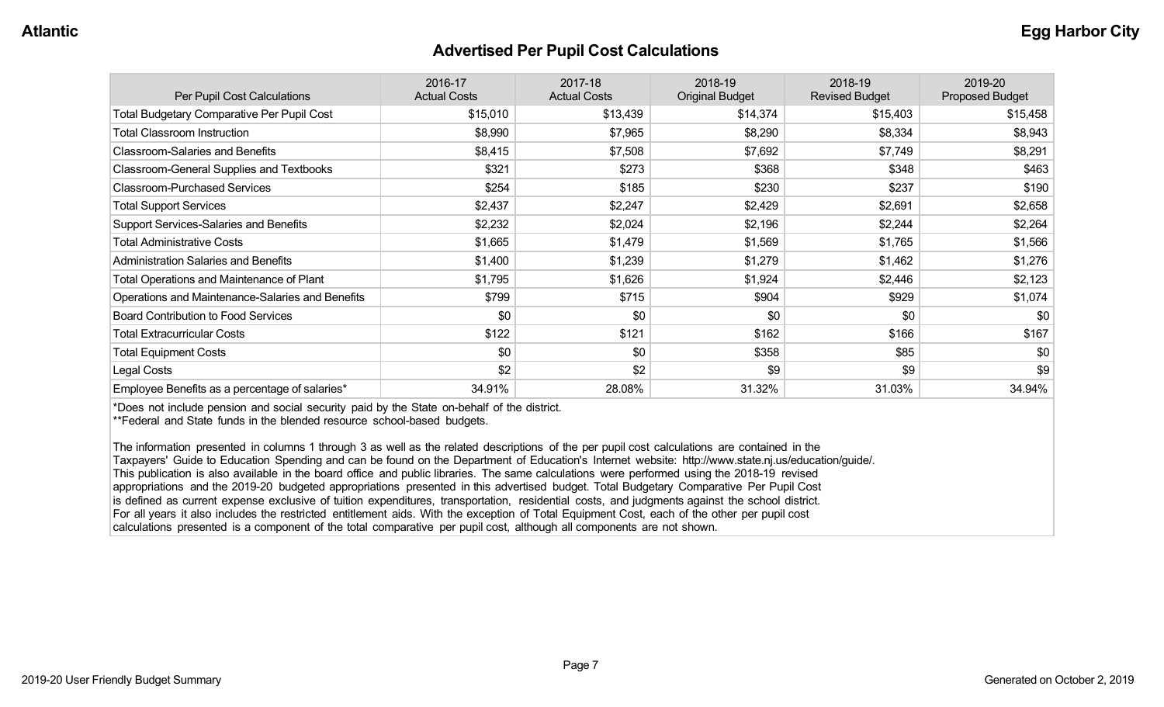#### **Advertised Per Pupil Cost Calculations**

| Per Pupil Cost Calculations                       | 2016-17<br><b>Actual Costs</b> | 2017-18<br><b>Actual Costs</b> | 2018-19<br><b>Original Budget</b> | 2018-19<br><b>Revised Budget</b> | 2019-20<br><b>Proposed Budget</b> |
|---------------------------------------------------|--------------------------------|--------------------------------|-----------------------------------|----------------------------------|-----------------------------------|
| <b>Total Budgetary Comparative Per Pupil Cost</b> | \$15,010                       | \$13,439                       | \$14,374                          | \$15,403                         | \$15,458                          |
| <b>Total Classroom Instruction</b>                | \$8,990                        | \$7,965                        | \$8,290                           | \$8,334                          | \$8,943                           |
| <b>Classroom-Salaries and Benefits</b>            | \$8,415                        | \$7,508                        | \$7,692                           | \$7,749                          | \$8,291                           |
| Classroom-General Supplies and Textbooks          | \$321                          | \$273                          | \$368                             | \$348                            | \$463                             |
| <b>Classroom-Purchased Services</b>               | \$254                          | \$185                          | \$230                             | \$237                            | \$190                             |
| <b>Total Support Services</b>                     | \$2,437                        | \$2,247                        | \$2,429                           | \$2,691                          | \$2,658                           |
| Support Services-Salaries and Benefits            | \$2,232                        | \$2,024                        | \$2,196                           | \$2,244                          | \$2,264                           |
| <b>Total Administrative Costs</b>                 | \$1,665                        | \$1,479                        | \$1,569                           | \$1,765                          | \$1,566                           |
| <b>Administration Salaries and Benefits</b>       | \$1,400                        | \$1,239                        | \$1,279                           | \$1,462                          | \$1,276                           |
| Total Operations and Maintenance of Plant         | \$1,795                        | \$1,626                        | \$1,924                           | \$2,446                          | \$2,123                           |
| Operations and Maintenance-Salaries and Benefits  | \$799                          | \$715                          | \$904                             | \$929                            | \$1,074                           |
| <b>Board Contribution to Food Services</b>        | \$0                            | \$0                            | \$0                               | \$0                              | \$0                               |
| <b>Total Extracurricular Costs</b>                | \$122                          | \$121                          | \$162                             | \$166                            | \$167                             |
| <b>Total Equipment Costs</b>                      | \$0                            | \$0                            | \$358                             | \$85                             | \$0                               |
| Legal Costs                                       | \$2                            | \$2                            | \$9                               | \$9                              | \$9                               |
| Employee Benefits as a percentage of salaries*    | 34.91%                         | 28.08%                         | 31.32%                            | 31.03%                           | 34.94%                            |

\*Does not include pension and social security paid by the State on-behalf of the district.

\*\*Federal and State funds in the blended resource school-based budgets.

The information presented in columns 1 through 3 as well as the related descriptions of the per pupil cost calculations are contained in the Taxpayers' Guide to Education Spending and can be found on the Department of Education's Internet website: http://www.state.nj.us/education/guide/. This publication is also available in the board office and public libraries. The same calculations were performed using the 2018-19 revised appropriations and the 2019-20 budgeted appropriations presented in this advertised budget. Total Budgetary Comparative Per Pupil Cost is defined as current expense exclusive of tuition expenditures, transportation, residential costs, and judgments against the school district. For all years it also includes the restricted entitlement aids. With the exception of Total Equipment Cost, each of the other per pupil cost calculations presented is a component of the total comparative per pupil cost, although all components are not shown.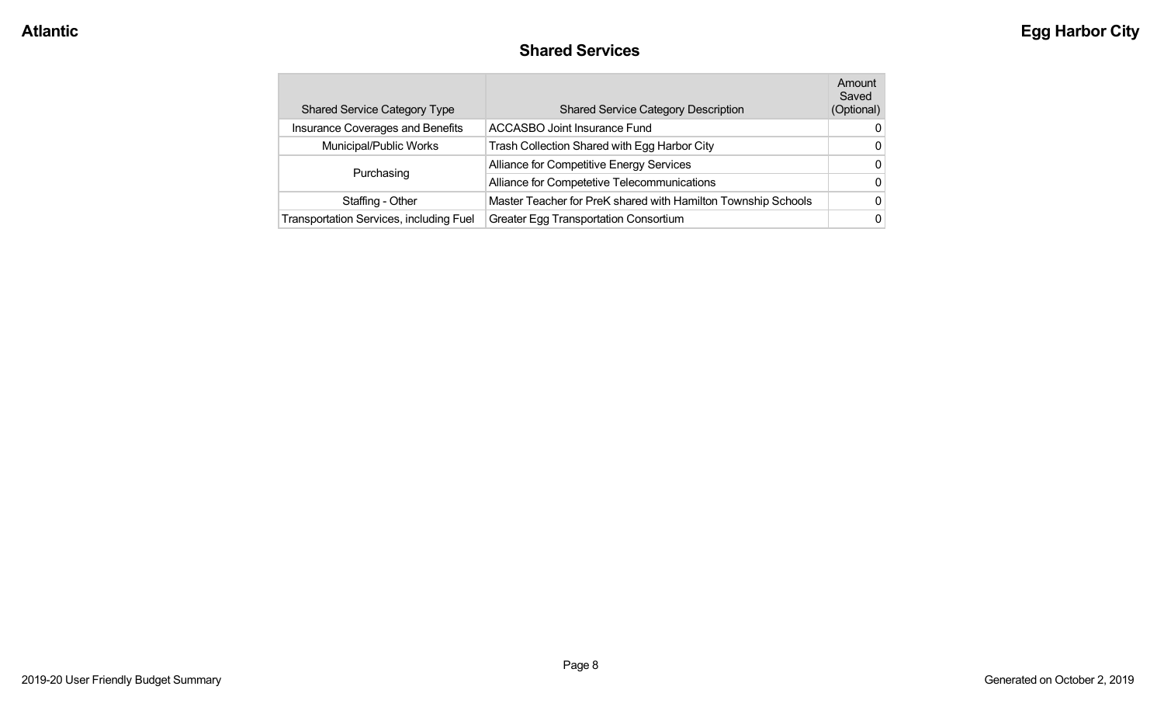#### **Shared Services**

| <b>Shared Service Category Type</b>     | <b>Shared Service Category Description</b>                    | Amount<br>Saved<br>(Optional) |
|-----------------------------------------|---------------------------------------------------------------|-------------------------------|
| Insurance Coverages and Benefits        | <b>ACCASBO Joint Insurance Fund</b>                           | 0                             |
| Municipal/Public Works                  | Trash Collection Shared with Egg Harbor City                  | 0                             |
|                                         | Alliance for Competitive Energy Services                      | 0                             |
| Purchasing                              | Alliance for Competetive Telecommunications                   | 0                             |
| Staffing - Other                        | Master Teacher for PreK shared with Hamilton Township Schools | 0                             |
| Transportation Services, including Fuel | Greater Egg Transportation Consortium                         | 0                             |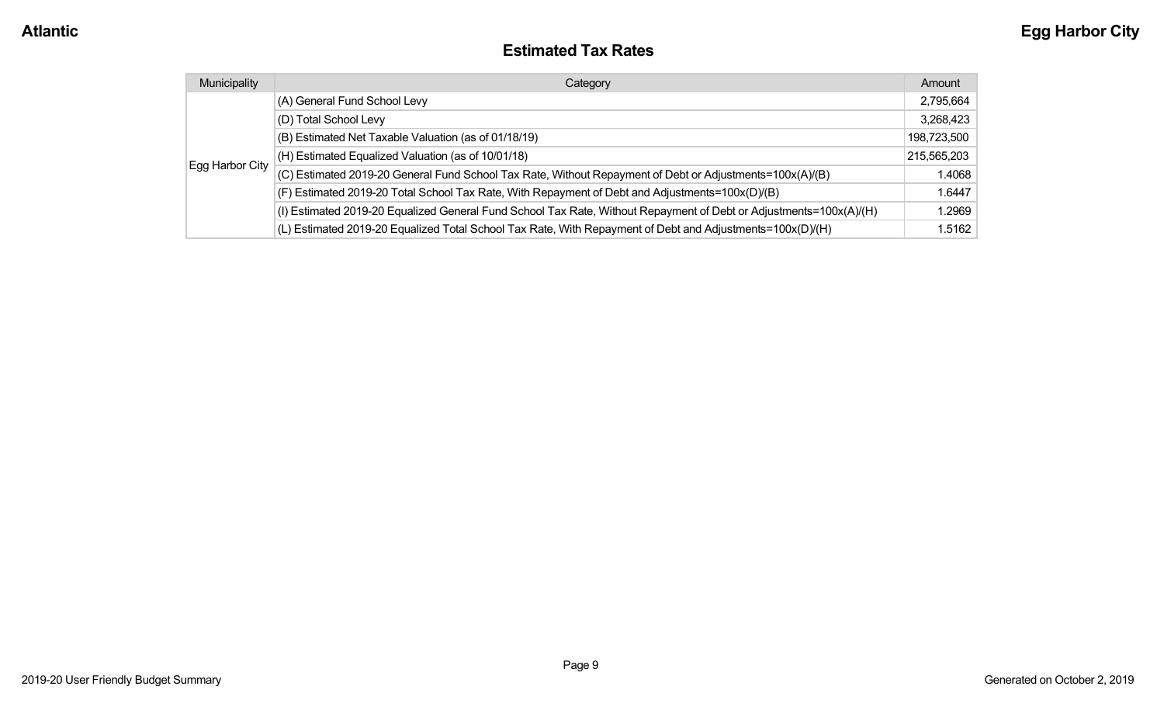#### **Estimated Tax Rates**

| Municipality    | Category                                                                                                           | Amount      |
|-----------------|--------------------------------------------------------------------------------------------------------------------|-------------|
|                 | (A) General Fund School Levy                                                                                       | 2,795,664   |
|                 | (D) Total School Levy                                                                                              | 3,268,423   |
|                 | (B) Estimated Net Taxable Valuation (as of 01/18/19)                                                               | 198,723,500 |
|                 | (H) Estimated Equalized Valuation (as of 10/01/18)                                                                 | 215,565,203 |
| Egg Harbor City | (C) Estimated 2019-20 General Fund School Tax Rate, Without Repayment of Debt or Adjustments=100x(A)/(B)           | 1.4068      |
|                 | (F) Estimated 2019-20 Total School Tax Rate, With Repayment of Debt and Adjustments=100x(D)/(B)                    | 1.6447      |
|                 | (I) Estimated 2019-20 Equalized General Fund School Tax Rate, Without Repayment of Debt or Adjustments=100x(A)/(H) | 1.2969      |
|                 | (L) Estimated 2019-20 Equalized Total School Tax Rate, With Repayment of Debt and Adjustments=100x(D)/(H)          | 1.5162      |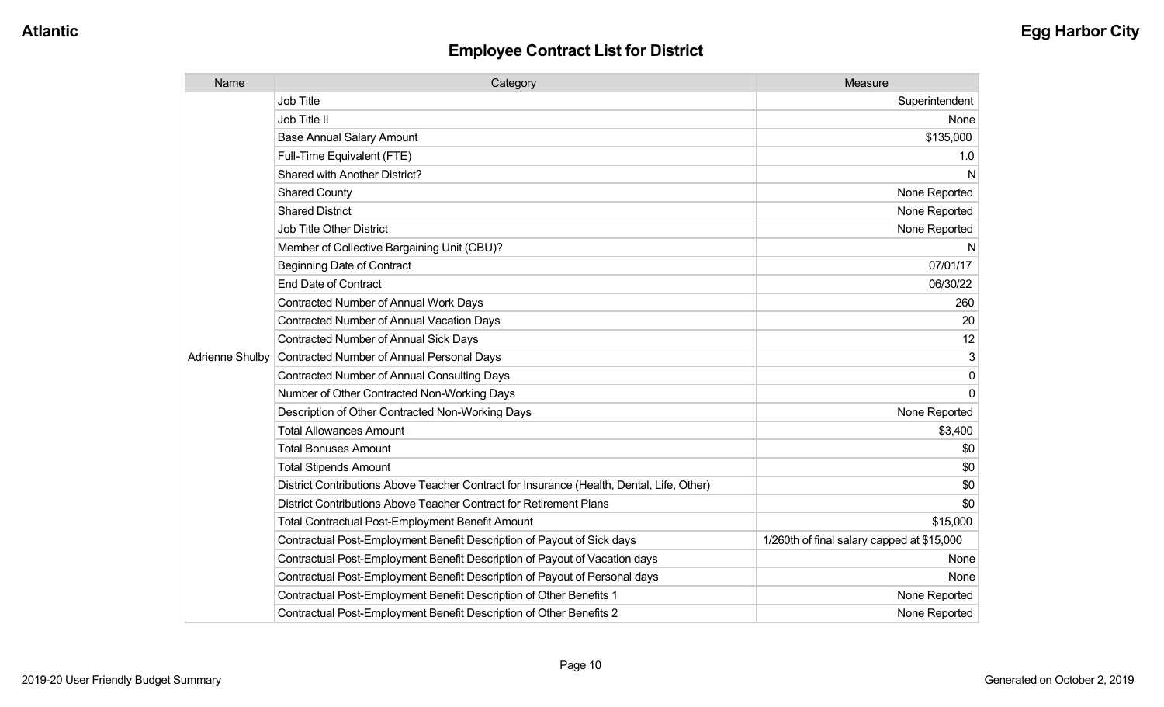| Name                   | Category                                                                                  | Measure                                    |
|------------------------|-------------------------------------------------------------------------------------------|--------------------------------------------|
|                        | <b>Job Title</b>                                                                          | Superintendent                             |
|                        | Job Title II                                                                              | None                                       |
|                        | <b>Base Annual Salary Amount</b>                                                          | \$135,000                                  |
|                        | Full-Time Equivalent (FTE)                                                                | 1.0                                        |
|                        | Shared with Another District?                                                             | N                                          |
|                        | <b>Shared County</b>                                                                      | None Reported                              |
|                        | <b>Shared District</b>                                                                    | None Reported                              |
|                        | <b>Job Title Other District</b>                                                           | None Reported                              |
|                        | Member of Collective Bargaining Unit (CBU)?                                               | N                                          |
|                        | <b>Beginning Date of Contract</b>                                                         | 07/01/17                                   |
|                        | <b>End Date of Contract</b>                                                               | 06/30/22                                   |
|                        | Contracted Number of Annual Work Days                                                     | 260                                        |
|                        | <b>Contracted Number of Annual Vacation Days</b>                                          | 20                                         |
|                        | Contracted Number of Annual Sick Days                                                     | 12                                         |
| <b>Adrienne Shulby</b> | Contracted Number of Annual Personal Days                                                 | 3                                          |
|                        | <b>Contracted Number of Annual Consulting Days</b>                                        | 0                                          |
|                        | Number of Other Contracted Non-Working Days                                               | $\Omega$                                   |
|                        | Description of Other Contracted Non-Working Days                                          | None Reported                              |
|                        | <b>Total Allowances Amount</b>                                                            | \$3,400                                    |
|                        | <b>Total Bonuses Amount</b>                                                               | \$0                                        |
|                        | <b>Total Stipends Amount</b>                                                              | \$0                                        |
|                        | District Contributions Above Teacher Contract for Insurance (Health, Dental, Life, Other) | \$0                                        |
|                        | District Contributions Above Teacher Contract for Retirement Plans                        | \$0                                        |
|                        | <b>Total Contractual Post-Employment Benefit Amount</b>                                   | \$15,000                                   |
|                        | Contractual Post-Employment Benefit Description of Payout of Sick days                    | 1/260th of final salary capped at \$15,000 |
|                        | Contractual Post-Employment Benefit Description of Payout of Vacation days                | None                                       |
|                        | Contractual Post-Employment Benefit Description of Payout of Personal days                | None                                       |
|                        | Contractual Post-Employment Benefit Description of Other Benefits 1                       | None Reported                              |
|                        | Contractual Post-Employment Benefit Description of Other Benefits 2                       | None Reported                              |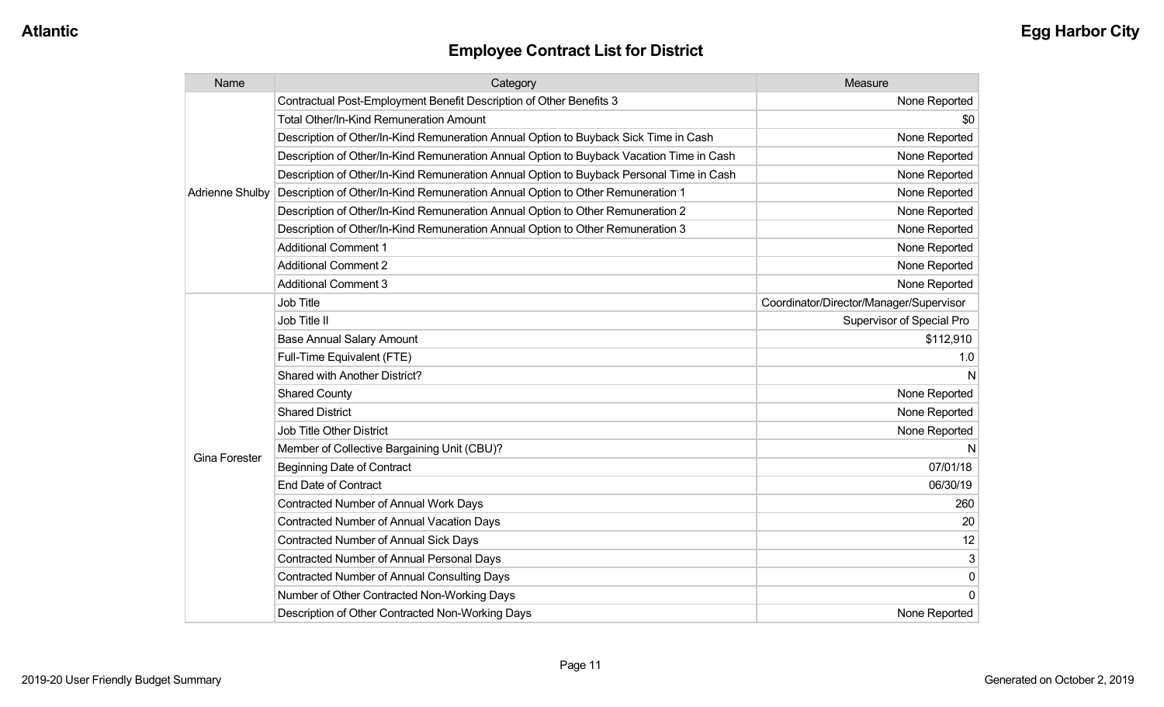| Name                   | Category                                                                                 | Measure                                 |
|------------------------|------------------------------------------------------------------------------------------|-----------------------------------------|
|                        | Contractual Post-Employment Benefit Description of Other Benefits 3                      | None Reported                           |
|                        | <b>Total Other/In-Kind Remuneration Amount</b>                                           | \$0                                     |
|                        | Description of Other/In-Kind Remuneration Annual Option to Buyback Sick Time in Cash     | None Reported                           |
|                        | Description of Other/In-Kind Remuneration Annual Option to Buyback Vacation Time in Cash | None Reported                           |
|                        | Description of Other/In-Kind Remuneration Annual Option to Buyback Personal Time in Cash | None Reported                           |
| <b>Adrienne Shulby</b> | Description of Other/In-Kind Remuneration Annual Option to Other Remuneration 1          | None Reported                           |
|                        | Description of Other/In-Kind Remuneration Annual Option to Other Remuneration 2          | None Reported                           |
|                        | Description of Other/In-Kind Remuneration Annual Option to Other Remuneration 3          | None Reported                           |
|                        | <b>Additional Comment 1</b>                                                              | None Reported                           |
|                        | <b>Additional Comment 2</b>                                                              | None Reported                           |
|                        | <b>Additional Comment 3</b>                                                              | None Reported                           |
|                        | Job Title                                                                                | Coordinator/Director/Manager/Supervisor |
|                        | Job Title II                                                                             | Supervisor of Special Pro               |
|                        | <b>Base Annual Salary Amount</b>                                                         | \$112,910                               |
|                        | Full-Time Equivalent (FTE)                                                               | 1.0                                     |
|                        | Shared with Another District?                                                            | N                                       |
|                        | <b>Shared County</b>                                                                     | None Reported                           |
|                        | <b>Shared District</b>                                                                   | None Reported                           |
|                        | Job Title Other District                                                                 | None Reported                           |
| <b>Gina Forester</b>   | Member of Collective Bargaining Unit (CBU)?                                              |                                         |
|                        | <b>Beginning Date of Contract</b>                                                        | 07/01/18                                |
|                        | <b>End Date of Contract</b>                                                              | 06/30/19                                |
|                        | Contracted Number of Annual Work Days                                                    | 260                                     |
|                        | <b>Contracted Number of Annual Vacation Days</b>                                         | 20                                      |
|                        | <b>Contracted Number of Annual Sick Days</b>                                             | 12                                      |
|                        | Contracted Number of Annual Personal Days                                                | 3                                       |
|                        | <b>Contracted Number of Annual Consulting Days</b>                                       | $\pmb{0}$                               |
|                        | Number of Other Contracted Non-Working Days                                              | $\Omega$                                |
|                        | Description of Other Contracted Non-Working Days                                         | None Reported                           |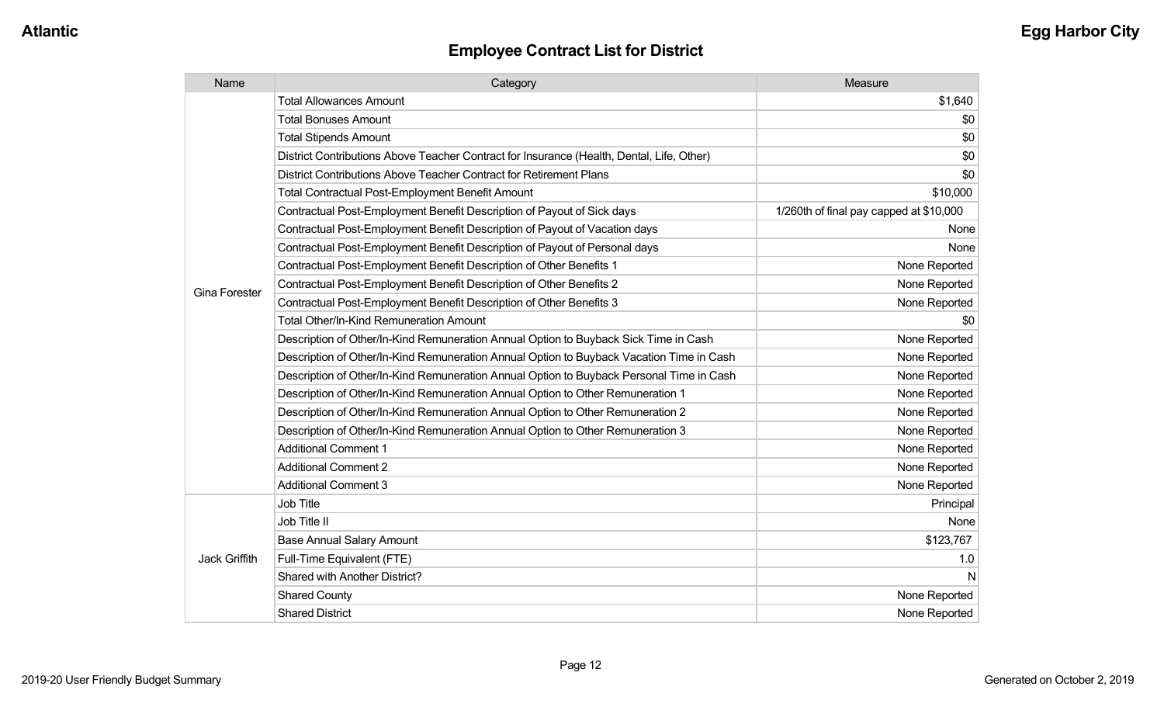| Name                 | Category                                                                                  | Measure                                 |
|----------------------|-------------------------------------------------------------------------------------------|-----------------------------------------|
|                      | <b>Total Allowances Amount</b>                                                            | \$1,640                                 |
|                      | <b>Total Bonuses Amount</b>                                                               | \$0                                     |
|                      | <b>Total Stipends Amount</b>                                                              | \$0                                     |
|                      | District Contributions Above Teacher Contract for Insurance (Health, Dental, Life, Other) | \$0                                     |
|                      | District Contributions Above Teacher Contract for Retirement Plans                        | \$0                                     |
|                      | <b>Total Contractual Post-Employment Benefit Amount</b>                                   | \$10,000                                |
|                      | Contractual Post-Employment Benefit Description of Payout of Sick days                    | 1/260th of final pay capped at \$10,000 |
|                      | Contractual Post-Employment Benefit Description of Payout of Vacation days                | None                                    |
|                      | Contractual Post-Employment Benefit Description of Payout of Personal days                | None                                    |
|                      | Contractual Post-Employment Benefit Description of Other Benefits 1                       | None Reported                           |
|                      | Contractual Post-Employment Benefit Description of Other Benefits 2                       | None Reported                           |
| <b>Gina Forester</b> | Contractual Post-Employment Benefit Description of Other Benefits 3                       | None Reported                           |
|                      | Total Other/In-Kind Remuneration Amount                                                   | \$0                                     |
|                      | Description of Other/In-Kind Remuneration Annual Option to Buyback Sick Time in Cash      | None Reported                           |
|                      | Description of Other/In-Kind Remuneration Annual Option to Buyback Vacation Time in Cash  | None Reported                           |
|                      | Description of Other/In-Kind Remuneration Annual Option to Buyback Personal Time in Cash  | None Reported                           |
|                      | Description of Other/In-Kind Remuneration Annual Option to Other Remuneration 1           | None Reported                           |
|                      | Description of Other/In-Kind Remuneration Annual Option to Other Remuneration 2           | None Reported                           |
|                      | Description of Other/In-Kind Remuneration Annual Option to Other Remuneration 3           | None Reported                           |
|                      | <b>Additional Comment 1</b>                                                               | None Reported                           |
|                      | <b>Additional Comment 2</b>                                                               | None Reported                           |
|                      | <b>Additional Comment 3</b>                                                               | None Reported                           |
| Jack Griffith        | Job Title                                                                                 | Principal                               |
|                      | Job Title II                                                                              | None                                    |
|                      | <b>Base Annual Salary Amount</b>                                                          | \$123,767                               |
|                      | Full-Time Equivalent (FTE)                                                                | 1.0                                     |
|                      | Shared with Another District?                                                             | N                                       |
|                      | <b>Shared County</b>                                                                      | None Reported                           |
|                      | <b>Shared District</b>                                                                    | None Reported                           |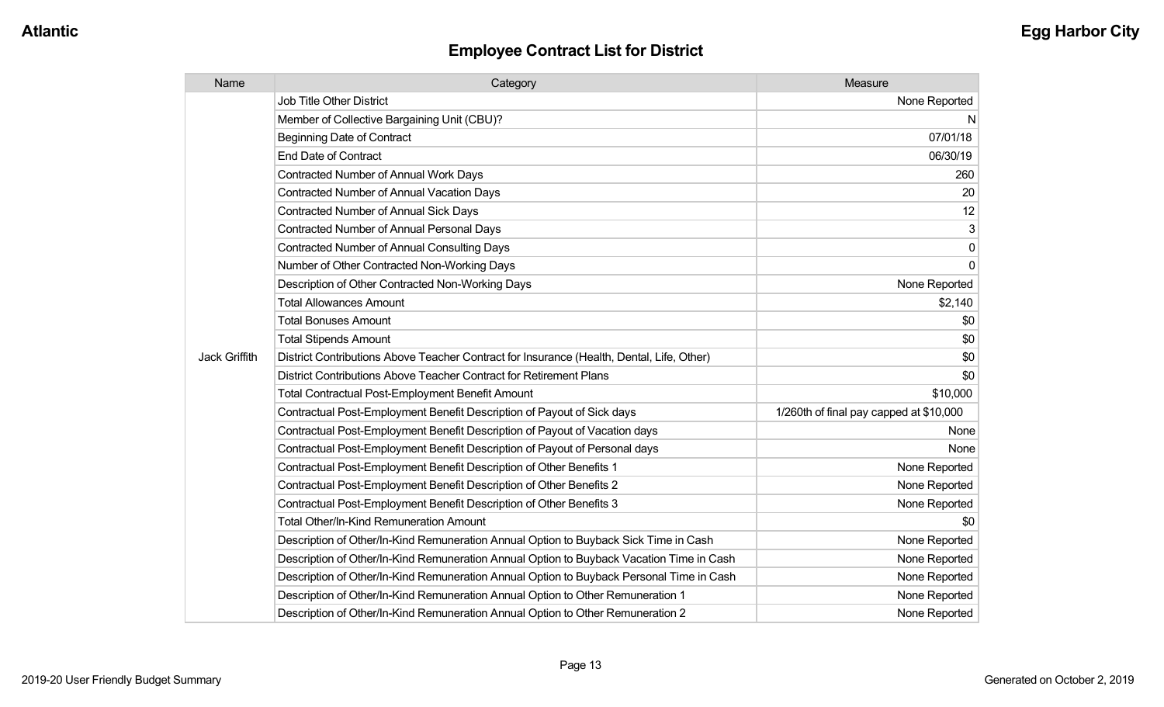| Name                 | Category                                                                                  | Measure                                 |
|----------------------|-------------------------------------------------------------------------------------------|-----------------------------------------|
|                      | <b>Job Title Other District</b>                                                           | None Reported                           |
|                      | Member of Collective Bargaining Unit (CBU)?                                               | N                                       |
|                      | <b>Beginning Date of Contract</b>                                                         | 07/01/18                                |
|                      | <b>End Date of Contract</b>                                                               | 06/30/19                                |
|                      | Contracted Number of Annual Work Days                                                     | 260                                     |
|                      | <b>Contracted Number of Annual Vacation Days</b>                                          | 20                                      |
|                      | Contracted Number of Annual Sick Days                                                     | 12                                      |
|                      | Contracted Number of Annual Personal Days                                                 | 3                                       |
|                      | <b>Contracted Number of Annual Consulting Days</b>                                        | $\pmb{0}$                               |
|                      | Number of Other Contracted Non-Working Days                                               | $\mathbf 0$                             |
|                      | Description of Other Contracted Non-Working Days                                          | None Reported                           |
|                      | <b>Total Allowances Amount</b>                                                            | \$2,140                                 |
|                      | <b>Total Bonuses Amount</b>                                                               | \$0                                     |
|                      | <b>Total Stipends Amount</b>                                                              | \$0                                     |
| <b>Jack Griffith</b> | District Contributions Above Teacher Contract for Insurance (Health, Dental, Life, Other) | \$0                                     |
|                      | District Contributions Above Teacher Contract for Retirement Plans                        | \$0                                     |
|                      | Total Contractual Post-Employment Benefit Amount                                          | \$10,000                                |
|                      | Contractual Post-Employment Benefit Description of Payout of Sick days                    | 1/260th of final pay capped at \$10,000 |
|                      | Contractual Post-Employment Benefit Description of Payout of Vacation days                | None                                    |
|                      | Contractual Post-Employment Benefit Description of Payout of Personal days                | None                                    |
|                      | Contractual Post-Employment Benefit Description of Other Benefits 1                       | None Reported                           |
|                      | Contractual Post-Employment Benefit Description of Other Benefits 2                       | None Reported                           |
|                      | Contractual Post-Employment Benefit Description of Other Benefits 3                       | None Reported                           |
|                      | Total Other/In-Kind Remuneration Amount                                                   | \$0                                     |
|                      | Description of Other/In-Kind Remuneration Annual Option to Buyback Sick Time in Cash      | None Reported                           |
|                      | Description of Other/In-Kind Remuneration Annual Option to Buyback Vacation Time in Cash  | None Reported                           |
|                      | Description of Other/In-Kind Remuneration Annual Option to Buyback Personal Time in Cash  | None Reported                           |
|                      | Description of Other/In-Kind Remuneration Annual Option to Other Remuneration 1           | None Reported                           |
|                      | Description of Other/In-Kind Remuneration Annual Option to Other Remuneration 2           | None Reported                           |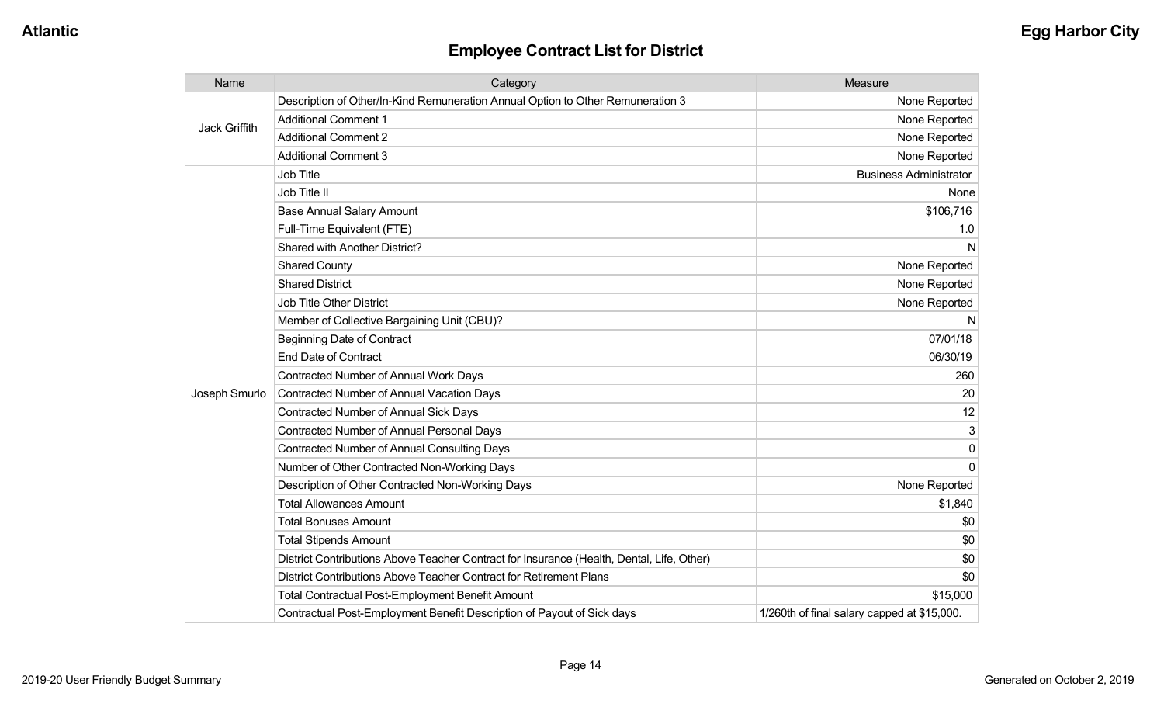| Name                 | Category                                                                                  | Measure                                     |
|----------------------|-------------------------------------------------------------------------------------------|---------------------------------------------|
| <b>Jack Griffith</b> | Description of Other/In-Kind Remuneration Annual Option to Other Remuneration 3           | None Reported                               |
|                      | <b>Additional Comment 1</b>                                                               | None Reported                               |
|                      | <b>Additional Comment 2</b>                                                               | None Reported                               |
|                      | <b>Additional Comment 3</b>                                                               | None Reported                               |
|                      | Job Title                                                                                 | <b>Business Administrator</b>               |
|                      | Job Title II                                                                              | None                                        |
|                      | <b>Base Annual Salary Amount</b>                                                          | \$106,716                                   |
|                      | Full-Time Equivalent (FTE)                                                                | 1.0                                         |
|                      | Shared with Another District?                                                             | N                                           |
|                      | <b>Shared County</b>                                                                      | None Reported                               |
|                      | <b>Shared District</b>                                                                    | None Reported                               |
|                      | <b>Job Title Other District</b>                                                           | None Reported                               |
|                      | Member of Collective Bargaining Unit (CBU)?                                               | N                                           |
|                      | <b>Beginning Date of Contract</b>                                                         | 07/01/18                                    |
|                      | <b>End Date of Contract</b>                                                               | 06/30/19                                    |
|                      | Contracted Number of Annual Work Days                                                     | 260                                         |
| Joseph Smurlo        | <b>Contracted Number of Annual Vacation Days</b>                                          | 20                                          |
|                      | <b>Contracted Number of Annual Sick Days</b>                                              | 12                                          |
|                      | <b>Contracted Number of Annual Personal Days</b>                                          |                                             |
|                      | <b>Contracted Number of Annual Consulting Days</b>                                        | $\Omega$                                    |
|                      | Number of Other Contracted Non-Working Days                                               | $\Omega$                                    |
|                      | Description of Other Contracted Non-Working Days                                          | None Reported                               |
|                      | <b>Total Allowances Amount</b>                                                            | \$1,840                                     |
|                      | <b>Total Bonuses Amount</b>                                                               | \$0                                         |
|                      | <b>Total Stipends Amount</b>                                                              | \$0                                         |
|                      | District Contributions Above Teacher Contract for Insurance (Health, Dental, Life, Other) | \$0                                         |
|                      | District Contributions Above Teacher Contract for Retirement Plans                        | \$0                                         |
|                      | <b>Total Contractual Post-Employment Benefit Amount</b>                                   | \$15,000                                    |
|                      | Contractual Post-Employment Benefit Description of Payout of Sick days                    | 1/260th of final salary capped at \$15,000. |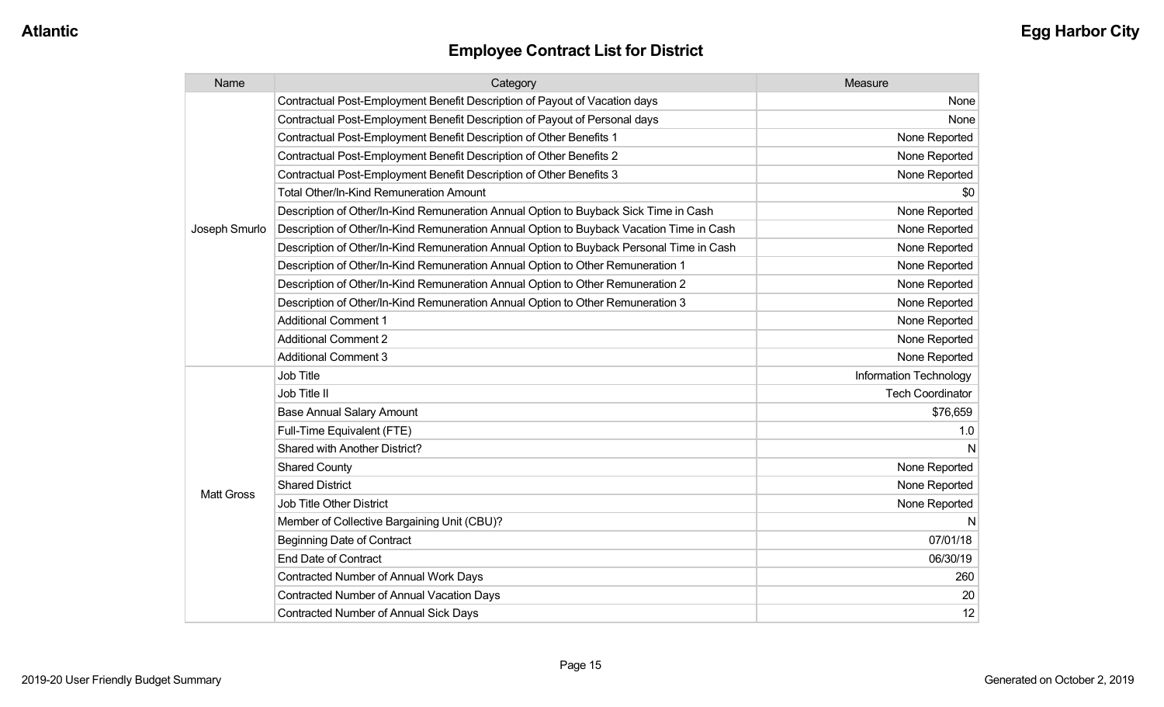| Name              | Category                                                                                 | Measure                 |
|-------------------|------------------------------------------------------------------------------------------|-------------------------|
|                   | Contractual Post-Employment Benefit Description of Payout of Vacation days               | None                    |
|                   | Contractual Post-Employment Benefit Description of Payout of Personal days               | None                    |
|                   | Contractual Post-Employment Benefit Description of Other Benefits 1                      | None Reported           |
|                   | Contractual Post-Employment Benefit Description of Other Benefits 2                      | None Reported           |
|                   | Contractual Post-Employment Benefit Description of Other Benefits 3                      | None Reported           |
|                   | <b>Total Other/In-Kind Remuneration Amount</b>                                           | \$0                     |
|                   | Description of Other/In-Kind Remuneration Annual Option to Buyback Sick Time in Cash     | None Reported           |
| Joseph Smurlo     | Description of Other/In-Kind Remuneration Annual Option to Buyback Vacation Time in Cash | None Reported           |
|                   | Description of Other/In-Kind Remuneration Annual Option to Buyback Personal Time in Cash | None Reported           |
|                   | Description of Other/In-Kind Remuneration Annual Option to Other Remuneration 1          | None Reported           |
|                   | Description of Other/In-Kind Remuneration Annual Option to Other Remuneration 2          | None Reported           |
|                   | Description of Other/In-Kind Remuneration Annual Option to Other Remuneration 3          | None Reported           |
|                   | <b>Additional Comment 1</b>                                                              | None Reported           |
|                   | <b>Additional Comment 2</b>                                                              | None Reported           |
|                   | <b>Additional Comment 3</b>                                                              | None Reported           |
|                   | Job Title                                                                                | Information Technology  |
|                   | Job Title II                                                                             | <b>Tech Coordinator</b> |
|                   | <b>Base Annual Salary Amount</b>                                                         | \$76,659                |
|                   | Full-Time Equivalent (FTE)                                                               | 1.0                     |
|                   | Shared with Another District?                                                            | N                       |
|                   | <b>Shared County</b>                                                                     | None Reported           |
|                   | <b>Shared District</b>                                                                   | None Reported           |
| <b>Matt Gross</b> | Job Title Other District                                                                 | None Reported           |
|                   | Member of Collective Bargaining Unit (CBU)?                                              | N                       |
|                   | <b>Beginning Date of Contract</b>                                                        | 07/01/18                |
|                   | <b>End Date of Contract</b>                                                              | 06/30/19                |
|                   | Contracted Number of Annual Work Days                                                    | 260                     |
|                   | Contracted Number of Annual Vacation Days                                                | 20                      |
|                   | <b>Contracted Number of Annual Sick Days</b>                                             | 12                      |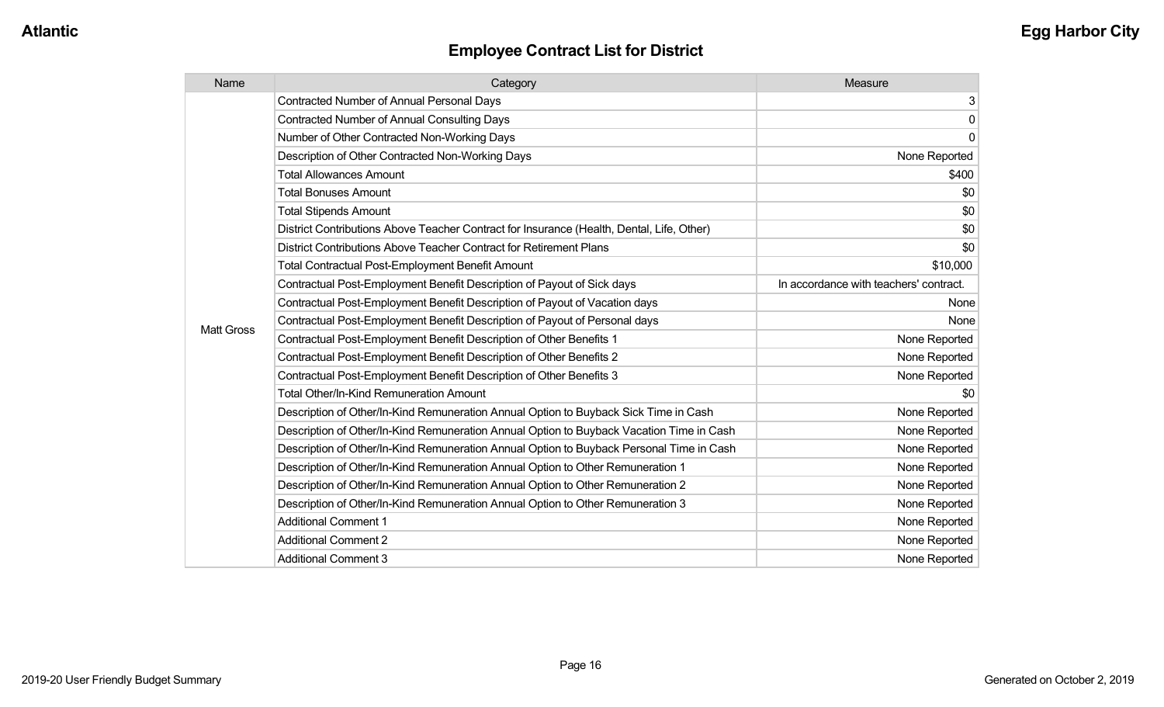| Name              | Category                                                                                  | Measure                                |
|-------------------|-------------------------------------------------------------------------------------------|----------------------------------------|
|                   | <b>Contracted Number of Annual Personal Days</b>                                          | 3                                      |
|                   | <b>Contracted Number of Annual Consulting Days</b>                                        | $\pmb{0}$                              |
|                   | Number of Other Contracted Non-Working Days                                               | $\mathbf 0$                            |
|                   | Description of Other Contracted Non-Working Days                                          | None Reported                          |
|                   | <b>Total Allowances Amount</b>                                                            | \$400                                  |
|                   | <b>Total Bonuses Amount</b>                                                               | \$0                                    |
|                   | <b>Total Stipends Amount</b>                                                              | \$0                                    |
|                   | District Contributions Above Teacher Contract for Insurance (Health, Dental, Life, Other) | \$0                                    |
|                   | District Contributions Above Teacher Contract for Retirement Plans                        | \$0                                    |
|                   | <b>Total Contractual Post-Employment Benefit Amount</b>                                   | \$10,000                               |
|                   | Contractual Post-Employment Benefit Description of Payout of Sick days                    | In accordance with teachers' contract. |
|                   | Contractual Post-Employment Benefit Description of Payout of Vacation days                | None                                   |
| <b>Matt Gross</b> | Contractual Post-Employment Benefit Description of Payout of Personal days                | None                                   |
|                   | Contractual Post-Employment Benefit Description of Other Benefits 1                       | None Reported                          |
|                   | Contractual Post-Employment Benefit Description of Other Benefits 2                       | None Reported                          |
|                   | Contractual Post-Employment Benefit Description of Other Benefits 3                       | None Reported                          |
|                   | <b>Total Other/In-Kind Remuneration Amount</b>                                            | \$0                                    |
|                   | Description of Other/In-Kind Remuneration Annual Option to Buyback Sick Time in Cash      | None Reported                          |
|                   | Description of Other/In-Kind Remuneration Annual Option to Buyback Vacation Time in Cash  | None Reported                          |
|                   | Description of Other/In-Kind Remuneration Annual Option to Buyback Personal Time in Cash  | None Reported                          |
|                   | Description of Other/In-Kind Remuneration Annual Option to Other Remuneration 1           | None Reported                          |
|                   | Description of Other/In-Kind Remuneration Annual Option to Other Remuneration 2           | None Reported                          |
|                   | Description of Other/In-Kind Remuneration Annual Option to Other Remuneration 3           | None Reported                          |
|                   | <b>Additional Comment 1</b>                                                               | None Reported                          |
|                   | <b>Additional Comment 2</b>                                                               | None Reported                          |
|                   | <b>Additional Comment 3</b>                                                               | None Reported                          |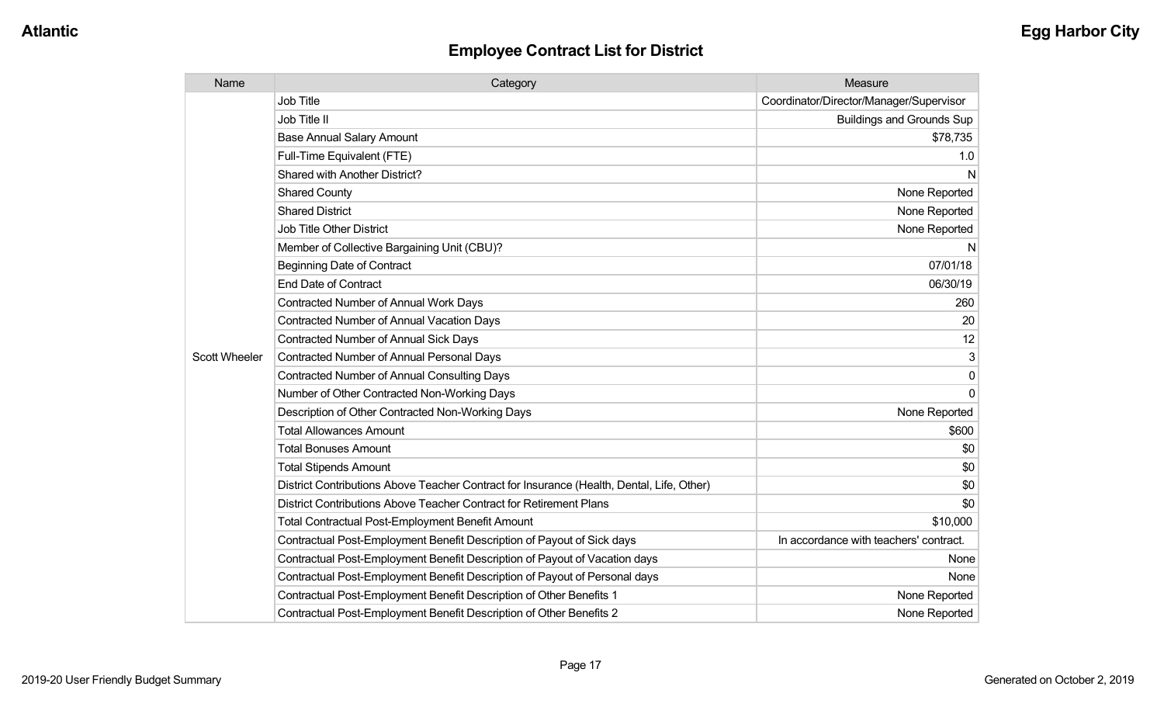| Name                 | Category                                                                                  | Measure                                 |
|----------------------|-------------------------------------------------------------------------------------------|-----------------------------------------|
|                      | Job Title                                                                                 | Coordinator/Director/Manager/Supervisor |
|                      | Job Title II                                                                              | <b>Buildings and Grounds Sup</b>        |
|                      | <b>Base Annual Salary Amount</b>                                                          | \$78,735                                |
|                      | Full-Time Equivalent (FTE)                                                                | 1.0                                     |
|                      | Shared with Another District?                                                             | N                                       |
|                      | <b>Shared County</b>                                                                      | None Reported                           |
|                      | <b>Shared District</b>                                                                    | None Reported                           |
|                      | <b>Job Title Other District</b>                                                           | None Reported                           |
|                      | Member of Collective Bargaining Unit (CBU)?                                               | N                                       |
|                      | <b>Beginning Date of Contract</b>                                                         | 07/01/18                                |
|                      | <b>End Date of Contract</b>                                                               | 06/30/19                                |
|                      | <b>Contracted Number of Annual Work Days</b>                                              | 260                                     |
|                      | <b>Contracted Number of Annual Vacation Days</b>                                          | 20                                      |
|                      | <b>Contracted Number of Annual Sick Days</b>                                              | 12                                      |
| <b>Scott Wheeler</b> | Contracted Number of Annual Personal Days                                                 | 3                                       |
|                      | <b>Contracted Number of Annual Consulting Days</b>                                        | $\mathbf{0}$                            |
|                      | Number of Other Contracted Non-Working Days                                               | $\Omega$                                |
|                      | Description of Other Contracted Non-Working Days                                          | None Reported                           |
|                      | <b>Total Allowances Amount</b>                                                            | \$600                                   |
|                      | <b>Total Bonuses Amount</b>                                                               | \$0                                     |
|                      | <b>Total Stipends Amount</b>                                                              | \$0                                     |
|                      | District Contributions Above Teacher Contract for Insurance (Health, Dental, Life, Other) | \$0                                     |
|                      | District Contributions Above Teacher Contract for Retirement Plans                        | \$0                                     |
|                      | Total Contractual Post-Employment Benefit Amount                                          | \$10,000                                |
|                      | Contractual Post-Employment Benefit Description of Payout of Sick days                    | In accordance with teachers' contract.  |
|                      | Contractual Post-Employment Benefit Description of Payout of Vacation days                | None                                    |
|                      | Contractual Post-Employment Benefit Description of Payout of Personal days                | None                                    |
|                      | Contractual Post-Employment Benefit Description of Other Benefits 1                       | None Reported                           |
|                      | Contractual Post-Employment Benefit Description of Other Benefits 2                       | None Reported                           |